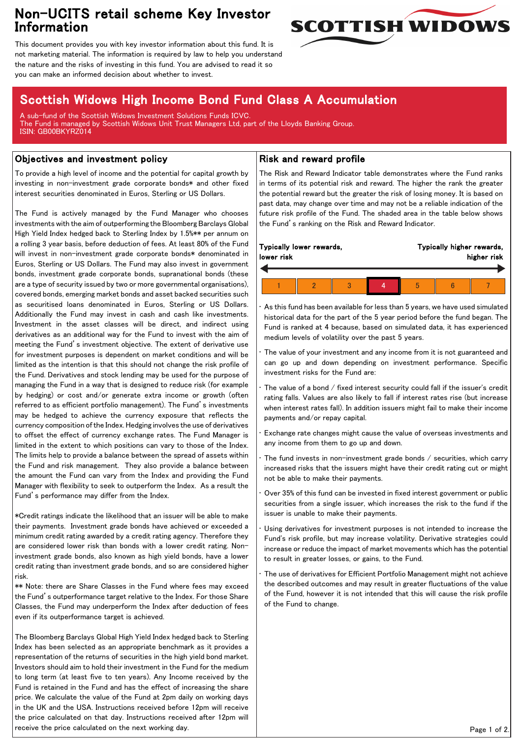## Non-UCITS retail scheme Key Investor Information



This document provides you with key investor information about this fund. It is not marketing material. The information is required by law to help you understand the nature and the risks of investing in this fund. You are advised to read it so you can make an informed decision about whether to invest.

# Scottish Widows High Income Bond Fund Class A Accumulation

A sub-fund of the Scottish Widows Investment Solutions Funds ICVC. The Fund is managed by Scottish Widows Unit Trust Managers Ltd, part of the Lloyds Banking Group. ISIN: GB00BKYRZ014

### Objectives and investment policy

To provide a high level of income and the potential for capital growth by investing in non-investment grade corporate bonds\* and other fixed interest securities denominated in Euros, Sterling or US Dollars.

The Fund is actively managed by the Fund Manager who chooses investments with the aim of outperforming the Bloomberg Barclays Global High Yield Index hedged back to Sterling Index by 1.5%\*\* per annum on a rolling 3 year basis, before deduction of fees. At least 80% of the Fund will invest in non-investment grade corporate bonds\* denominated in Euros, Sterling or US Dollars. The Fund may also invest in government bonds, investment grade corporate bonds, supranational bonds (these are a type of security issued by two or more governmental organisations), covered bonds, emerging market bonds and asset backed securities such as securitised loans denominated in Euros, Sterling or US Dollars. Additionally the Fund may invest in cash and cash like investments. Investment in the asset classes will be direct, and indirect using derivatives as an additional way for the Fund to invest with the aim of meeting the Fund's investment objective. The extent of derivative use for investment purposes is dependent on market conditions and will be limited as the intention is that this should not change the risk profile of the Fund. Derivatives and stock lending may be used for the purpose of managing the Fund in a way that is designed to reduce risk (for example by hedging) or cost and/or generate extra income or growth (often referred to as efficient portfolio management). The Fund's investments may be hedged to achieve the currency exposure that reflects the currency composition of the Index. Hedging involves the use of derivatives to offset the effect of currency exchange rates. The Fund Manager is limited in the extent to which positions can vary to those of the Index. The limits help to provide a balance between the spread of assets within the Fund and risk management. They also provide a balance between the amount the Fund can vary from the Index and providing the Fund Manager with flexibility to seek to outperform the Index. As a result the Fund's performance may differ from the Index.

\*Credit ratings indicate the likelihood that an issuer will be able to make their payments. Investment grade bonds have achieved or exceeded a minimum credit rating awarded by a credit rating agency. Therefore they are considered lower risk than bonds with a lower credit rating. Noninvestment grade bonds, also known as high yield bonds, have a lower credit rating than investment grade bonds, and so are considered higher risk.

\*\* Note: there are Share Classes in the Fund where fees may exceed the Fund's outperformance target relative to the Index. For those Share Classes, the Fund may underperform the Index after deduction of fees even if its outperformance target is achieved.

The Bloomberg Barclays Global High Yield Index hedged back to Sterling Index has been selected as an appropriate benchmark as it provides a representation of the returns of securities in the high yield bond market. Investors should aim to hold their investment in the Fund for the medium to long term (at least five to ten years). Any Income received by the Fund is retained in the Fund and has the effect of increasing the share price. We calculate the value of the Fund at 2pm daily on working days in the UK and the USA. Instructions received before 12pm will receive the price calculated on that day. Instructions received after 12pm will receive the price calculated on the next working day.

### Risk and reward profile

The Risk and Reward Indicator table demonstrates where the Fund ranks in terms of its potential risk and reward. The higher the rank the greater the potential reward but the greater the risk of losing money. It is based on past data, may change over time and may not be a reliable indication of the future risk profile of the Fund. The shaded area in the table below shows the Fund's ranking on the Risk and Reward Indicator.

| Typically lower rewards, |  |  |  | Typically higher rewards, |  |  |
|--------------------------|--|--|--|---------------------------|--|--|
| lower risk               |  |  |  | higher risk               |  |  |
|                          |  |  |  |                           |  |  |

• As this fund has been available for less than 5 years, we have used simulated historical data for the part of the 5 year period before the fund began. The Fund is ranked at 4 because, based on simulated data, it has experienced medium levels of volatility over the past 5 years.

The value of your investment and any income from it is not guaranteed and can go up and down depending on investment performance. Specific investment risks for the Fund are:

The value of a bond / fixed interest security could fall if the issuer's credit rating falls. Values are also likely to fall if interest rates rise (but increase when interest rates fall). In addition issuers might fail to make their income payments and/or repay capital.

• Exchange rate changes might cause the value of overseas investments and any income from them to go up and down.

The fund invests in non-investment grade bonds / securities, which carry increased risks that the issuers might have their credit rating cut or might not be able to make their payments.

• Over 35% of this fund can be invested in fixed interest government or public securities from a single issuer, which increases the risk to the fund if the issuer is unable to make their payments.

Using derivatives for investment purposes is not intended to increase the Fund's risk profile, but may increase volatility. Derivative strategies could increase or reduce the impact of market movements which has the potential to result in greater losses, or gains, to the Fund.

The use of derivatives for Efficient Portfolio Management might not achieve the described outcomes and may result in greater fluctuations of the value of the Fund, however it is not intended that this will cause the risk profile of the Fund to change.